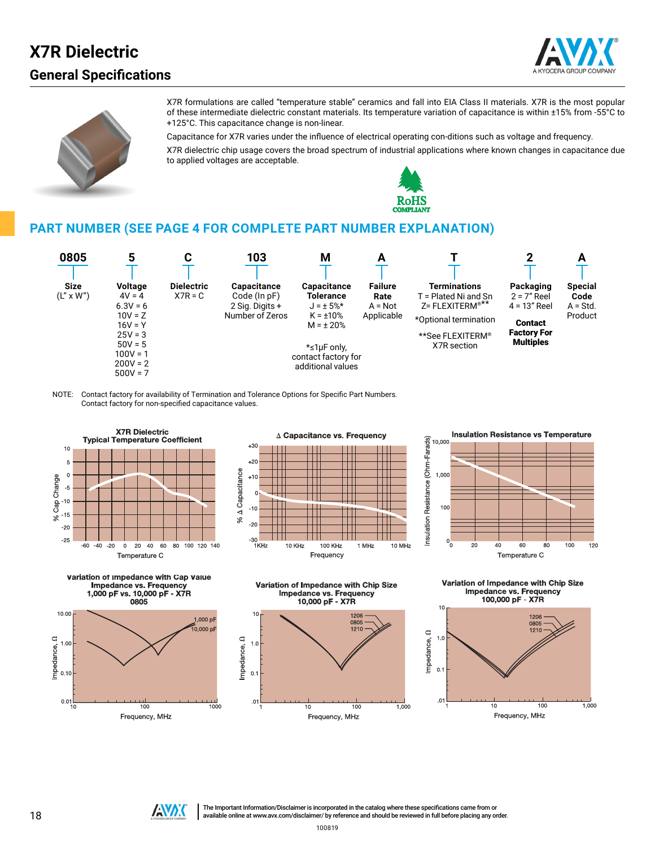## **General Specifications X7R Dielectric**





X7R formulations are called "temperature stable" ceramics and fall into EIA Class II materials. X7R is the most popular of these intermediate dielectric constant materials. Its temperature variation of capacitance is within ±15% from -55°C to +125°C. This capacitance change is non-linear.

Capacitance for X7R varies under the influence of electrical operating con-ditions such as voltage and frequency.

X7R dielectric chip usage covers the broad spectrum of industrial applications where known changes in capacitance due to applied voltages are acceptable.



### **PART NUMBER (SEE PAGE 4 FOR COMPLETE PART NUMBER EXPLANATION)**



NOTE: Contact factory for availability of Termination and Tolerance Options for Specific Part Numbers. Contact factory for non-specified capacitance values.















The Important Information/Disclaimer is incorporated in the catalog where these specifications came from or THE Important Information/Disclaimer is incorporated in the catalog where these specifications came from or<br>available online at [www.avx.com/disclaimer/](http://www.avx.com/disclaimer/) by reference and should be reviewed in full before placing any order.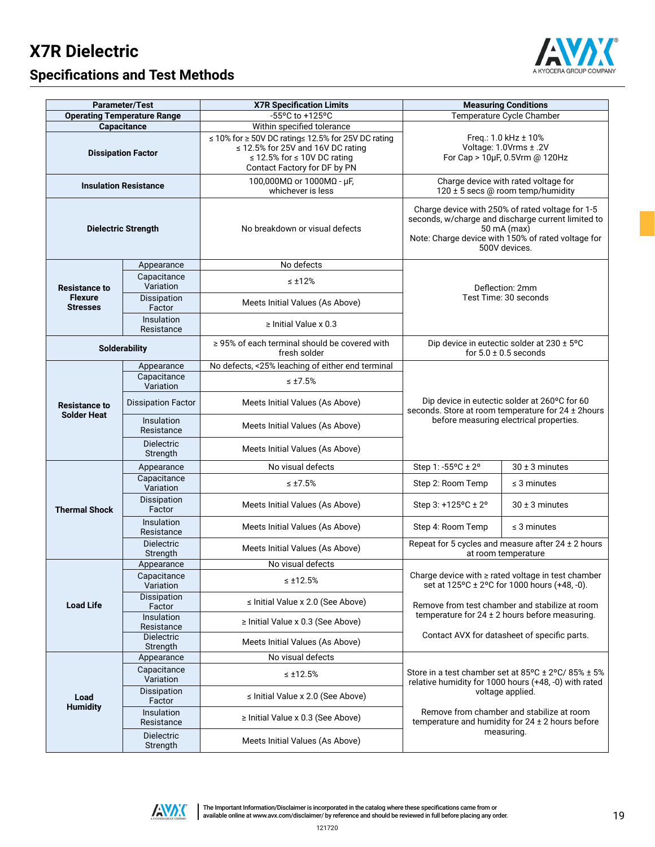# **X7R Dielectric**



## **Specifications and Test Methods**

|                                                                         | <b>Parameter/Test</b>              | <b>X7R Specification Limits</b>                                                                                                                             | <b>Measuring Conditions</b>                                                                                                                                                                  |                                                                                                                                      |  |  |  |  |  |  |
|-------------------------------------------------------------------------|------------------------------------|-------------------------------------------------------------------------------------------------------------------------------------------------------------|----------------------------------------------------------------------------------------------------------------------------------------------------------------------------------------------|--------------------------------------------------------------------------------------------------------------------------------------|--|--|--|--|--|--|
|                                                                         | <b>Operating Temperature Range</b> | -55°C to +125°C                                                                                                                                             |                                                                                                                                                                                              | Temperature Cycle Chamber                                                                                                            |  |  |  |  |  |  |
|                                                                         | Capacitance                        | Within specified tolerance                                                                                                                                  |                                                                                                                                                                                              |                                                                                                                                      |  |  |  |  |  |  |
|                                                                         | <b>Dissipation Factor</b>          | ≤ 10% for ≥ 50V DC rating≤ 12.5% for 25V DC rating<br>$\leq$ 12.5% for 25V and 16V DC rating<br>≤ 12.5% for ≤ 10V DC rating<br>Contact Factory for DF by PN |                                                                                                                                                                                              | Freq.: 1.0 kHz $\pm$ 10%<br>Voltage: 1.0Vrms ± .2V<br>For Cap > 10µF, 0.5Vrm @ 120Hz                                                 |  |  |  |  |  |  |
|                                                                         | <b>Insulation Resistance</b>       | 100,000MΩ or 1000MΩ - μF,<br>whichever is less                                                                                                              | Charge device with rated voltage for<br>120 ± 5 secs @ room temp/humidity                                                                                                                    |                                                                                                                                      |  |  |  |  |  |  |
|                                                                         | <b>Dielectric Strength</b>         | No breakdown or visual defects                                                                                                                              | Charge device with 250% of rated voltage for 1-5<br>seconds, w/charge and discharge current limited to<br>50 mA (max)<br>Note: Charge device with 150% of rated voltage for<br>500V devices. |                                                                                                                                      |  |  |  |  |  |  |
|                                                                         | Appearance                         | No defects                                                                                                                                                  |                                                                                                                                                                                              |                                                                                                                                      |  |  |  |  |  |  |
| <b>Resistance to</b>                                                    | Capacitance<br>Variation           | $\leq \pm 12\%$                                                                                                                                             |                                                                                                                                                                                              | Deflection: 2mm                                                                                                                      |  |  |  |  |  |  |
| <b>Flexure</b><br><b>Stresses</b>                                       | Dissipation<br>Factor              | Meets Initial Values (As Above)                                                                                                                             |                                                                                                                                                                                              | Test Time: 30 seconds<br>Dip device in eutectic solder at 230 ± 5°C                                                                  |  |  |  |  |  |  |
|                                                                         | Insulation<br>Resistance           | $\ge$ Initial Value x 0.3                                                                                                                                   |                                                                                                                                                                                              |                                                                                                                                      |  |  |  |  |  |  |
|                                                                         | <b>Solderability</b>               | ≥ 95% of each terminal should be covered with<br>fresh solder                                                                                               |                                                                                                                                                                                              | for $5.0 \pm 0.5$ seconds                                                                                                            |  |  |  |  |  |  |
|                                                                         | Appearance                         | No defects, <25% leaching of either end terminal                                                                                                            |                                                                                                                                                                                              |                                                                                                                                      |  |  |  |  |  |  |
|                                                                         | Capacitance<br>Variation           | $\leq \pm 7.5\%$                                                                                                                                            |                                                                                                                                                                                              |                                                                                                                                      |  |  |  |  |  |  |
| <b>Dissipation Factor</b><br><b>Resistance to</b><br><b>Solder Heat</b> |                                    | Meets Initial Values (As Above)                                                                                                                             |                                                                                                                                                                                              | Dip device in eutectic solder at 260°C for 60<br>seconds. Store at room temperature for 24 ± 2hours                                  |  |  |  |  |  |  |
|                                                                         | Insulation<br>Resistance           | Meets Initial Values (As Above)                                                                                                                             |                                                                                                                                                                                              | before measuring electrical properties.                                                                                              |  |  |  |  |  |  |
|                                                                         | <b>Dielectric</b><br>Strength      | Meets Initial Values (As Above)                                                                                                                             |                                                                                                                                                                                              |                                                                                                                                      |  |  |  |  |  |  |
|                                                                         | Appearance                         | No visual defects                                                                                                                                           | Step 1: -55°C ± 2°                                                                                                                                                                           | $30 \pm 3$ minutes                                                                                                                   |  |  |  |  |  |  |
|                                                                         | Capacitance<br>Variation           | $\leq \pm 7.5\%$                                                                                                                                            | Step 2: Room Temp                                                                                                                                                                            | $\leq$ 3 minutes                                                                                                                     |  |  |  |  |  |  |
| <b>Thermal Shock</b>                                                    | Dissipation<br>Factor              | Meets Initial Values (As Above)                                                                                                                             | Step 3: +125°C ± 2°                                                                                                                                                                          | $30 \pm 3$ minutes                                                                                                                   |  |  |  |  |  |  |
|                                                                         | Insulation<br>Resistance           | Meets Initial Values (As Above)                                                                                                                             | Step 4: Room Temp                                                                                                                                                                            | $\leq$ 3 minutes                                                                                                                     |  |  |  |  |  |  |
|                                                                         | <b>Dielectric</b><br>Strength      | Meets Initial Values (As Above)                                                                                                                             |                                                                                                                                                                                              | Repeat for 5 cycles and measure after $24 \pm 2$ hours<br>at room temperature                                                        |  |  |  |  |  |  |
|                                                                         | Appearance                         | No visual defects                                                                                                                                           |                                                                                                                                                                                              |                                                                                                                                      |  |  |  |  |  |  |
|                                                                         | Capacitance<br>Variation           | $\leq \pm 12.5\%$                                                                                                                                           |                                                                                                                                                                                              | Charge device with $\geq$ rated voltage in test chamber<br>set at 125°C ± 2°C for 1000 hours (+48, -0).                              |  |  |  |  |  |  |
| <b>Load Life</b>                                                        | Dissipation<br>Factor              | $\le$ Initial Value x 2.0 (See Above)                                                                                                                       |                                                                                                                                                                                              | Remove from test chamber and stabilize at room                                                                                       |  |  |  |  |  |  |
|                                                                         | Insulation<br>Resistance           | $\ge$ Initial Value x 0.3 (See Above)                                                                                                                       |                                                                                                                                                                                              | temperature for $24 \pm 2$ hours before measuring.                                                                                   |  |  |  |  |  |  |
|                                                                         | <b>Dielectric</b><br>Strength      | Meets Initial Values (As Above)                                                                                                                             |                                                                                                                                                                                              | Contact AVX for datasheet of specific parts.                                                                                         |  |  |  |  |  |  |
| Appearance                                                              |                                    | No visual defects                                                                                                                                           |                                                                                                                                                                                              |                                                                                                                                      |  |  |  |  |  |  |
|                                                                         | Capacitance<br>Variation           | $\leq$ ±12.5%                                                                                                                                               |                                                                                                                                                                                              | Store in a test chamber set at $85^{\circ}$ C ± 2 $^{\circ}$ C/ $85\%$ ± 5%<br>relative humidity for 1000 hours (+48, -0) with rated |  |  |  |  |  |  |
| Load<br><b>Humidity</b>                                                 | Dissipation<br>Factor              | ≤ Initial Value x 2.0 (See Above)                                                                                                                           |                                                                                                                                                                                              | voltage applied.                                                                                                                     |  |  |  |  |  |  |
|                                                                         | Insulation<br>Resistance           | $\ge$ Initial Value x 0.3 (See Above)                                                                                                                       |                                                                                                                                                                                              | Remove from chamber and stabilize at room<br>temperature and humidity for $24 \pm 2$ hours before                                    |  |  |  |  |  |  |
|                                                                         | <b>Dielectric</b><br>Strength      | Meets Initial Values (As Above)                                                                                                                             | measuring.                                                                                                                                                                                   |                                                                                                                                      |  |  |  |  |  |  |

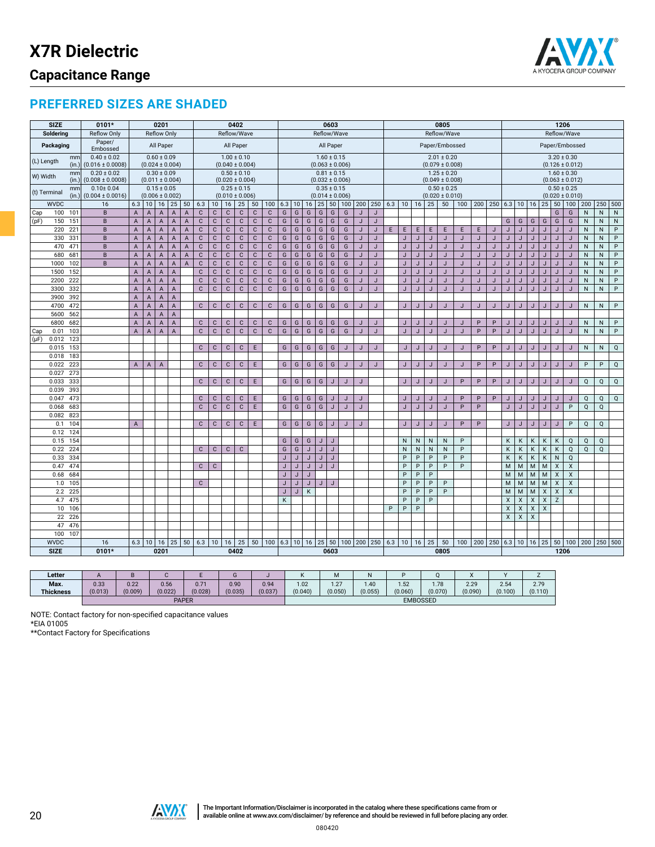

### **PREFERRED SIZES ARE SHADED**

| <b>SIZE</b>  |              | 0101*                                   |                           |                                                  | 0201               |                     |                |              |                 |                                        | 0402         |              |                                                      |   |                      |   |              | 0603            |                     |              |              | 0805           |                                        |                      |                                                                           |                                        |         |         | 1206              |                     |   |                |                    |                |                         |              |              |              |  |
|--------------|--------------|-----------------------------------------|---------------------------|--------------------------------------------------|--------------------|---------------------|----------------|--------------|-----------------|----------------------------------------|--------------|--------------|------------------------------------------------------|---|----------------------|---|--------------|-----------------|---------------------|--------------|--------------|----------------|----------------------------------------|----------------------|---------------------------------------------------------------------------|----------------------------------------|---------|---------|-------------------|---------------------|---|----------------|--------------------|----------------|-------------------------|--------------|--------------|--------------|--|
| Soldering    |              | <b>Reflow Only</b>                      |                           |                                                  | <b>Reflow Only</b> |                     |                |              |                 | Reflow/Wave                            |              |              |                                                      |   |                      |   | Reflow/Wave  |                 |                     |              |              |                |                                        |                      |                                                                           | Reflow/Wave                            |         |         |                   | Reflow/Wave         |   |                |                    |                |                         |              |              |              |  |
| Packaging    |              | Paper/<br>Embossed                      |                           |                                                  | All Paper          |                     |                |              |                 |                                        | All Paper    |              |                                                      |   |                      |   |              | All Paper       |                     |              |              | Paper/Embossed |                                        |                      |                                                                           |                                        |         |         |                   |                     |   | Paper/Embossed |                    |                |                         |              |              |              |  |
| (L) Length   | mm<br>(in.)  | $0.40 \pm 0.02$<br>$(0.016 \pm 0.0008)$ |                           |                                                  | $0.60 \pm 0.09$    | $(0.024 \pm 0.004)$ |                |              |                 | $1.00 \pm 0.10$<br>$(0.040 \pm 0.004)$ |              |              |                                                      |   |                      |   |              | $1.60 \pm 0.15$ | $(0.063 \pm 0.006)$ |              |              |                | $3.20 \pm 0.30$<br>$(0.126 \pm 0.012)$ |                      |                                                                           |                                        |         |         |                   |                     |   |                |                    |                |                         |              |              |              |  |
|              | mm           | $0.20 \pm 0.02$                         |                           |                                                  | $0.30 \pm 0.09$    |                     |                |              |                 | $0.50 \pm 0.10$                        |              |              |                                                      |   |                      |   |              | $0.81 \pm 0.15$ |                     |              |              |                |                                        |                      |                                                                           | $(0.079 \pm 0.008)$<br>$1.25 \pm 0.20$ |         |         |                   | $1.60 \pm 0.30$     |   |                |                    |                |                         |              |              |              |  |
| W) Width     | (in.)        | $(0.008 \pm 0.0008)$                    |                           |                                                  |                    | $(0.011 \pm 0.004)$ |                |              |                 | $(0.020 \pm 0.004)$                    |              |              |                                                      |   |                      |   |              |                 | $(0.032 \pm 0.006)$ |              |              |                |                                        |                      |                                                                           | $(0.049 \pm 0.008)$                    |         |         |                   | $(0.063 \pm 0.012)$ |   |                |                    |                |                         |              |              |              |  |
|              | mm           | $0.10 \pm 0.04$                         |                           |                                                  | $0.15 \pm 0.05$    |                     |                |              |                 | $0.25 \pm 0.15$                        |              |              |                                                      |   |                      |   |              | $0.35 \pm 0.15$ |                     |              |              |                |                                        |                      |                                                                           | $0.50 \pm 0.25$                        |         |         |                   |                     |   |                |                    |                | $0.50 \pm 0.25$         |              |              |              |  |
| (t) Terminal | (in.)        | $(0.004 \pm 0.0016)$                    |                           |                                                  |                    | $(0.006 \pm 0.002)$ |                |              |                 | $(0.010 \pm 0.006)$                    |              |              |                                                      |   |                      |   |              |                 | $(0.014 \pm 0.006)$ |              |              |                |                                        |                      |                                                                           | $(0.020 \pm 0.010)$                    |         |         |                   | $(0.020 \pm 0.010)$ |   |                |                    |                |                         |              |              |              |  |
| <b>WVDC</b>  |              | 16                                      | 6.3                       |                                                  |                    | 10   16   25        | 50             | 6.3          | 10 <sup>1</sup> | 16                                     | 25           | 50           | 100                                                  |   | $6.3$   10   16   25 |   |              |                 | 50 100              |              | 200 250      | $6.3$   10     |                                        | 16                   | 25                                                                        | 50                                     | 100     |         | 200 250 6.3 10 16 |                     |   |                | 25                 | 50             | 100                     | 200          | 250 500      |              |  |
| 100<br>Cap   | 101          | $\overline{B}$                          | $\boldsymbol{\mathsf{A}}$ | $\mathsf A$                                      | $\mathsf{A}$       | $\overline{A}$      | $\mathsf A$    | $\mathbf C$  | $\mathbf C$     | $\mathbb C$                            | $\mathbf C$  | $\mathbf{C}$ | $\mathbf C$                                          | G | G                    | G | G            | G               | G                   | J            | J            |                |                                        |                      |                                                                           |                                        |         |         |                   |                     |   |                |                    | G              | G                       | ${\sf N}$    | ${\sf N}$    | ${\sf N}$    |  |
| 150<br>(pF)  | 151          | B                                       | $\overline{A}$            | $\mathsf A$                                      | $\overline{A}$     | $\overline{A}$      | $\mathsf A$    | $\mathbf C$  | $\mathbf C$     | $\mathbf C$                            | $\mathbf C$  | $\mathbf{C}$ | $\mathbf{C}$                                         | G | G                    | G | G            | G               | G                   | J            | $\mathsf J$  |                |                                        |                      |                                                                           |                                        |         |         |                   | G                   | G | G              | G                  | G              | G                       | N            | $\mathsf{N}$ | ${\sf N}$    |  |
| 220          | 221          | B                                       | $\mathsf A$               | $\mathsf A$                                      | $\mathsf A$        | $\mathsf A$         | $\mathsf A$    | $\mathbf{C}$ | $\mathbf C$     | $\mathbf C$                            | $\mathbf C$  | $\mathbf C$  | $\mathbf C$                                          | G | G                    | G | G            | G               | G                   | $\mathsf J$  | $\mathsf{J}$ | E              | E                                      | E                    | E                                                                         | $\mathsf E$                            | E       | E       | J                 | J                   | J | J              | J                  | J              | $\mathsf J$             | ${\sf N}$    | $\mathsf{N}$ | P            |  |
|              | 330<br>331   | B                                       | $\overline{A}$            | $\mathsf A$                                      | $\mathsf A$        | $\mathsf A$         | $\mathsf A$    | $\mathbf C$  | $\mathbf C$     | $\mathbf{C}$                           | $\mathbf C$  | $\mathbf C$  | $\mathbf C$                                          | G | G                    | G | G            | G               | G                   | $\mathsf J$  | $\mathsf J$  |                | J                                      | $\mathsf J$          | J                                                                         | J                                      | J       | J       | J                 | $\mathsf J$         | J | J              | J                  | J              | J                       | ${\sf N}$    | $\mathsf{N}$ | $\sf P$      |  |
|              | 470<br>471   | B                                       | $\mathsf A$               | $\mathsf A$                                      | $\mathsf A$        | $\mathsf A$         | $\overline{A}$ | $\mathbf C$  | $\mathbf C$     | C                                      | $\mathbf C$  | $\mathbb{C}$ | $\mathbf C$                                          | G | G                    | G | G            | G               | G                   | J            | J            |                | J                                      | J                    | J                                                                         | J                                      | J       | J       | J                 | J                   | J | J              | J                  | J              | $\mathsf J$             | N            | N            | $\sf P$      |  |
| 680          | 681          | B                                       | A                         | $\overline{A}$                                   | $\mathsf A$        | $\mathsf A$         | $\overline{A}$ | $\mathbf C$  | $\mathbf C$     | $\mathbf C$                            | $\mathbf C$  | C            | $\mathbf{C}$                                         | G | G                    | G | G            | G               | G                   | J            | $\mathsf J$  |                | J                                      | J                    | $\overline{1}$                                                            | J                                      | J       | J       | $\overline{J}$    | J                   | J | J              | J                  | J              | $\mathsf J$             | $\mathsf{N}$ | $\mathsf{N}$ | P            |  |
| 1000         | 102          | B                                       | $\boldsymbol{\mathsf{A}}$ | $\mathsf A$                                      | $\mathsf A$        | $\mathsf A$         | $\mathsf A$    | $\mathbf C$  | $\mathbf C$     | $\mathbf C$                            | $\mathbb C$  | $\mathbf{C}$ | $\mathbf C$                                          | G | G                    | G | G            | G               | G                   | J            | $\mathsf J$  |                | J                                      | J                    | J                                                                         | J                                      | J       | J       | J                 | J                   | J | J              | J                  | $\mathsf J$    | $\mathsf J$             | $\mathsf{N}$ | $\mathsf{N}$ | P            |  |
| 1500         | 152          |                                         | A                         | $\boldsymbol{\mathsf{A}}$                        | $\mathsf{A}$       | $\overline{A}$      |                | $\mathbf C$  | $\mathbb C$     | $\mathbb{C}$                           | $\mathbf{C}$ | $\mathbb{C}$ | $\mathbf C$                                          | G | G                    | G | G            | G               | G                   | J            | J            |                | J                                      | J                    | J                                                                         | J                                      | $\cdot$ | J       | J                 | $\mathbf{J}$        | J | $\cdot$        | J                  | J              | $\mathsf J$             | ${\sf N}$    | ${\sf N}$    | $\sf P$      |  |
| 2200         | 222          |                                         | A                         | $\mathsf{A}$                                     | $\mathsf{A}$       | $\mathsf A$         |                | $\mathbf C$  | $\mathbf C$     | $\mathsf C$                            | $\mathbf{C}$ | $\mathbf{C}$ | $\mathbf{C}$                                         | G | G                    | G | G            | G               | G                   | J            | $\mathsf J$  |                | $\mathsf J$                            | $\mathsf J$          | J                                                                         | J                                      | J       | J       | J                 | $\mathsf J$         | J | J              | $\mathsf J$        | J              | $\mathsf J$             | ${\sf N}$    | $\mathsf{N}$ | P            |  |
| 3300         | 332          |                                         | A                         | $\mathsf A$                                      | $\mathsf A$        | $\mathsf A$         |                | $\mathbf C$  | $\mathbf{C}$    | $\mathbf C$                            | $\mathbf{C}$ | $\mathbf{C}$ | $\mathbf{C}$                                         | G | G                    | G | G            | G               | G                   | J            | J            |                | J                                      | J                    | J                                                                         | J                                      | J       | J       | J                 | J                   | J | J              | J                  | J              | J                       | N            | $\mathsf{N}$ | P            |  |
| 3900         | 392          |                                         | A                         | $\mathsf A$                                      | $\overline{A}$     | $\overline{A}$      |                |              |                 |                                        |              |              |                                                      |   |                      |   |              |                 |                     |              |              |                |                                        |                      |                                                                           |                                        |         |         |                   |                     |   |                |                    |                |                         |              |              |              |  |
| 4700         | 472          |                                         | $\sf A$                   | $\overline{A}$                                   | $\overline{A}$     | $\overline{A}$      |                | $\mathbf{C}$ | $\mathbf C$     | $\mathbf C$                            | $\mathbf C$  | $\mathbf{C}$ | $\mathbf{C}$                                         | G | G                    | G | G            | G               | G                   | J            | J            |                | J                                      | J                    | J                                                                         | J                                      | J       | J       | J                 | J                   | J | J              | J                  | J              | J                       | $\mathsf{N}$ | $\mathsf{N}$ | P            |  |
| 5600         | 562          |                                         | A                         | $\overline{A}$                                   | $\overline{A}$     | $\mathsf A$         |                |              |                 |                                        |              |              |                                                      |   |                      |   |              |                 |                     |              |              |                |                                        |                      |                                                                           |                                        |         |         |                   |                     |   |                |                    |                |                         |              |              |              |  |
| 6800         | 682          |                                         | $\overline{A}$            | $\mathsf A$                                      | $\mathsf A$        | $\overline{A}$      |                | $\mathbf C$  | $\mathbf{C}$    | $\mathbb C$                            | $\mathbf{C}$ | $\mathsf{C}$ | $\mathbb{C}$                                         | G | G                    | G | G            | G               | G                   | J            | J            |                | J                                      | J                    | J                                                                         | J                                      | J       | $\sf P$ | P                 | J                   | J | J              | J                  | J              | J                       | $\mathsf{N}$ | N            | P            |  |
| 0.01<br>Cap  | 103          |                                         | $\mathsf A$               | $\mathsf A$                                      | $\mathsf A$        | $\overline{A}$      |                | $\mathbf C$  | $\mathbf C$     | $\mathtt{C}$                           | $\mathbf{C}$ | $\mathbf{C}$ | $\mathbf{C}$                                         | G | G                    | G | G            | G               | G                   | $\mathsf{J}$ | $\mathsf{J}$ |                | J                                      | J                    | J                                                                         | J                                      | ۰       | P       | $\sf P$           | $\mathsf{J}$        | J | J              | J                  | J              | J                       | ${\sf N}$    | $\mathsf{N}$ | P            |  |
| $(\mu F)$    | 0.012 123    |                                         |                           |                                                  |                    |                     |                |              |                 |                                        |              |              |                                                      |   |                      |   |              |                 |                     |              |              |                |                                        |                      |                                                                           |                                        |         |         |                   |                     |   |                |                    |                |                         |              |              |              |  |
|              | 0.015 153    |                                         |                           |                                                  |                    |                     |                | $\mathbf{C}$ | $\mathbf C$     | $\mathbb{C}$                           | $\mathbf C$  | $\mathsf E$  |                                                      | G | G                    | G | G            | G               | J                   | J            | J            |                | J                                      | J                    | $\overline{1}$                                                            | J                                      | J       | P       | P                 | J                   | J | J              | J                  | J              | J                       | N            | $\mathsf{N}$ | Q            |  |
| 0.018        | 183          |                                         |                           |                                                  |                    |                     |                |              |                 |                                        |              |              |                                                      |   |                      |   |              |                 |                     |              |              |                |                                        |                      |                                                                           |                                        |         |         |                   |                     |   |                |                    |                |                         |              |              |              |  |
| 0.022        | 223          |                                         | A                         | $\mathsf A$                                      | $\overline{A}$     |                     |                | $\mathbf C$  | $\mathbf C$     | $\mathbf C$                            | $\mathbf C$  | E            |                                                      | G | G                    | G | G            | G               | J                   | J            | J            |                | J                                      | J                    | $\overline{1}$                                                            | J                                      | J       | $\sf P$ | P                 | J                   | J | J              | J                  | J              | J                       | P            | $\sf P$      | $\mathsf{Q}$ |  |
| 0.027        | 273          |                                         |                           |                                                  |                    |                     |                |              |                 |                                        |              |              |                                                      |   |                      |   |              |                 |                     |              |              |                |                                        |                      |                                                                           |                                        |         |         |                   |                     |   |                |                    |                |                         |              |              |              |  |
| 0.033        | 333          |                                         |                           |                                                  |                    |                     |                | $\mathbf{C}$ | $\mathbf{C}$    | $\mathbb C$                            | $\mathbf{C}$ | E            |                                                      | G | G                    | G | G            | J               | J                   | J            |              |                | J                                      | J                    | J                                                                         | J                                      | P       | P       | P                 | J                   | J | J              | J                  | J              | J                       | Q            | $\mathsf Q$  | $\mathsf Q$  |  |
| 0.039        | 393          |                                         |                           |                                                  |                    |                     |                |              |                 |                                        |              |              |                                                      |   |                      |   |              |                 |                     |              |              |                |                                        |                      |                                                                           |                                        |         |         |                   |                     |   |                |                    |                |                         |              |              |              |  |
| 0.047        | 473          |                                         |                           |                                                  |                    |                     |                | $\mathbf{C}$ | $\mathbf{C}$    | $\mathbb C$                            | $\mathbf{C}$ | Ε            |                                                      | G | G                    | G | G            | J               | J                   | J            |              |                | J                                      | J                    | J                                                                         | J                                      | P       | P       | P                 | J                   | J | J              | J                  | J              | J                       | Q            | Q            | $\mathsf Q$  |  |
| 0.068        | 683          |                                         |                           |                                                  |                    |                     |                | $\mathbf C$  | $\mathsf C$     | $\mathbf C$                            | $\mathbf{C}$ | $\mathsf E$  |                                                      | G | G                    | G | G            | J               | J                   | J            |              |                | J                                      | J                    | $\overline{1}$                                                            | $\cdot$                                | P       | P       |                   | J                   | J | $\mathsf J$    | J                  | J              | P                       | $\mathsf Q$  | $\mathsf Q$  |              |  |
| 0.082        | 823          |                                         |                           |                                                  |                    |                     |                |              |                 |                                        |              |              |                                                      |   |                      |   |              |                 |                     |              |              |                |                                        |                      |                                                                           |                                        |         |         |                   |                     |   |                |                    |                |                         |              |              |              |  |
|              | 104<br>0.1   |                                         | A                         |                                                  |                    |                     |                | $\mathbf C$  | $\mathsf{C}$    | $\mathbb{C}$                           | $\mathbb C$  | E            |                                                      | G | G                    | G | G            | J               | J                   | J            |              |                | J                                      | J                    | J                                                                         | J                                      | P       | P       |                   | J                   | J | J              | J                  | J              | P                       | $\mathsf Q$  | $\mathsf Q$  |              |  |
| 0.12         | 124          |                                         |                           |                                                  |                    |                     |                |              |                 |                                        |              |              |                                                      |   |                      |   |              |                 |                     |              |              |                |                                        |                      |                                                                           |                                        |         |         |                   |                     |   |                |                    |                |                         |              |              |              |  |
|              | 0.15 154     |                                         |                           |                                                  |                    |                     |                |              |                 |                                        |              |              |                                                      | G | G                    | G | $\mathsf{J}$ | J               |                     |              |              |                | $\mathsf{N}$                           | N                    | $\mathsf{N}$                                                              | N                                      | P       |         |                   | К                   | Κ | К              | К                  | К              | Q                       | Q            | $\mathsf Q$  |              |  |
| 0.22         | 224          |                                         |                           |                                                  |                    |                     |                | $\mathbb{C}$ | $\mathbf C$     | $\mathsf{C}$                           | $\mathbf C$  |              |                                                      | G | G                    | J | J            | $\mathsf J$     |                     |              |              |                | N                                      | N                    | N                                                                         | $\mathsf{N}$                           | P       |         |                   | Κ                   | K | К              | K                  | К              | $\mathsf Q$             | $\mathsf Q$  | $\mathsf Q$  |              |  |
| 0.33         | 334          |                                         |                           |                                                  |                    |                     |                |              |                 |                                        |              |              |                                                      | J | J                    | J | J            | J               |                     |              |              |                | P                                      | P                    | P                                                                         | P                                      | P       |         |                   | K                   | K | K              | K                  | $\mathsf{N}$   | $\circ$                 |              |              |              |  |
| 0.47         | 474          |                                         |                           |                                                  |                    |                     |                | $\mathbf C$  | $\mathbf C$     |                                        |              |              |                                                      | J | J                    | J | J            | J               |                     |              |              |                | P                                      | P                    | P                                                                         | $\mathsf{P}$                           | P       |         |                   | M                   | M | ${\sf M}$      | M                  | X              | X                       |              |              |              |  |
| 0.68         | 684          |                                         |                           |                                                  |                    |                     |                |              |                 |                                        |              |              |                                                      | J | J                    | J |              |                 |                     |              |              |                | P                                      | P                    | P                                                                         |                                        |         |         |                   | M                   | M | M              | M                  | $\pmb{\times}$ | $\overline{\mathsf{x}}$ |              |              |              |  |
|              | $1.0$<br>105 |                                         |                           |                                                  |                    |                     |                | $\mathbf{C}$ |                 |                                        |              |              |                                                      | J | J                    | J | J            | J               |                     |              |              |                | P                                      | $\sf P$              | P                                                                         | P                                      |         |         |                   | M                   | M | M              | ${\sf M}$          | X              | X                       |              |              |              |  |
|              | 225<br>2.2   |                                         |                           |                                                  |                    |                     |                |              |                 |                                        |              |              |                                                      | J | J                    | K |              |                 |                     |              |              |                | P                                      | P                    | P                                                                         | P                                      |         |         |                   | M                   | M | M              | $\mathsf X$        | $\pmb{\times}$ | $\pmb{\times}$          |              |              |              |  |
|              | 4.7 475      |                                         |                           |                                                  |                    |                     |                |              |                 |                                        |              |              |                                                      | K |                      |   |              |                 |                     |              |              |                | P                                      | P                    | P                                                                         |                                        |         |         |                   | X                   | X | X              | $\pmb{\times}$     | Z              |                         |              |              |              |  |
|              | 10 106       |                                         |                           |                                                  |                    |                     |                |              |                 |                                        |              |              |                                                      |   |                      |   |              |                 |                     |              |              | P              | P                                      | $\sf P$              |                                                                           |                                        |         |         |                   | $\pmb{\times}$      | X | $\pmb{\times}$ | $\pmb{\mathsf{X}}$ |                |                         |              |              |              |  |
|              | 22 226       |                                         |                           |                                                  |                    |                     |                |              |                 |                                        |              |              |                                                      |   |                      |   |              |                 |                     |              |              |                |                                        |                      |                                                                           |                                        |         |         |                   | $\mathsf{x}$        | X | $\mathsf{x}$   |                    |                |                         |              |              |              |  |
|              | 47 476       |                                         |                           |                                                  |                    |                     |                |              |                 |                                        |              |              |                                                      |   |                      |   |              |                 |                     |              |              |                |                                        |                      |                                                                           |                                        |         |         |                   |                     |   |                |                    |                |                         |              |              |              |  |
| 100          | 107          |                                         |                           |                                                  |                    |                     |                |              |                 |                                        |              |              |                                                      |   |                      |   |              |                 |                     |              |              |                |                                        |                      |                                                                           |                                        |         |         |                   |                     |   |                |                    |                |                         |              |              |              |  |
| <b>WVDC</b>  |              | 16                                      | 6.3                       |                                                  |                    |                     | 50             |              |                 |                                        |              |              | 50   100   6.3   10   16   25   50   100   200   250 |   |                      |   |              |                 |                     |              |              |                |                                        | $6.3$   10   16   25 |                                                                           | 50                                     |         |         |                   |                     |   |                |                    |                |                         |              |              |              |  |
| <b>SIZE</b>  |              | $0101*$                                 |                           | 10 16 25<br>$6.3$   10   16   25<br>0201<br>0402 |                    |                     |                |              |                 |                                        |              |              | 0603                                                 |   |                      |   |              |                 |                     |              | 0805         |                |                                        |                      | 100   200   250   6.3   10   16   25   50   100   200   250   500<br>1206 |                                        |         |         |                   |                     |   |                |                    |                |                         |              |              |              |  |
|              |              |                                         |                           |                                                  |                    |                     |                |              |                 |                                        |              |              |                                                      |   |                      |   |              |                 |                     |              |              |                |                                        |                      |                                                                           |                                        |         |         |                   |                     |   |                |                    |                |                         |              |              |              |  |

| Letter                   |                 |                 |                 |                 |                 |                 |                 | м               | IN              |                 |                 |                 |                 |                 |  |  |  |  |
|--------------------------|-----------------|-----------------|-----------------|-----------------|-----------------|-----------------|-----------------|-----------------|-----------------|-----------------|-----------------|-----------------|-----------------|-----------------|--|--|--|--|
| Max.<br><b>Thickness</b> | 0.33<br>(0.013) | 0.22<br>(0.009) | 0.56<br>(0.022) | 0.71<br>(0.028) | 0.90<br>(0.035) | 0.94<br>(0.037) | 1.02<br>(0.040) | 1.27<br>(0.050) | 1.40<br>(0.055) | 1.52<br>(0.060) | 1.78<br>(0.070) | 2.29<br>(0.090) | 2.54<br>(0.100) | 2.79<br>(0.110) |  |  |  |  |
|                          |                 |                 | <b>PAPER</b>    |                 |                 |                 | <b>EMBOSSED</b> |                 |                 |                 |                 |                 |                 |                 |  |  |  |  |

NOTE: Contact factory for non-specified capacitance values \*EIA 01005

\*\*Contact Factory for Specifications